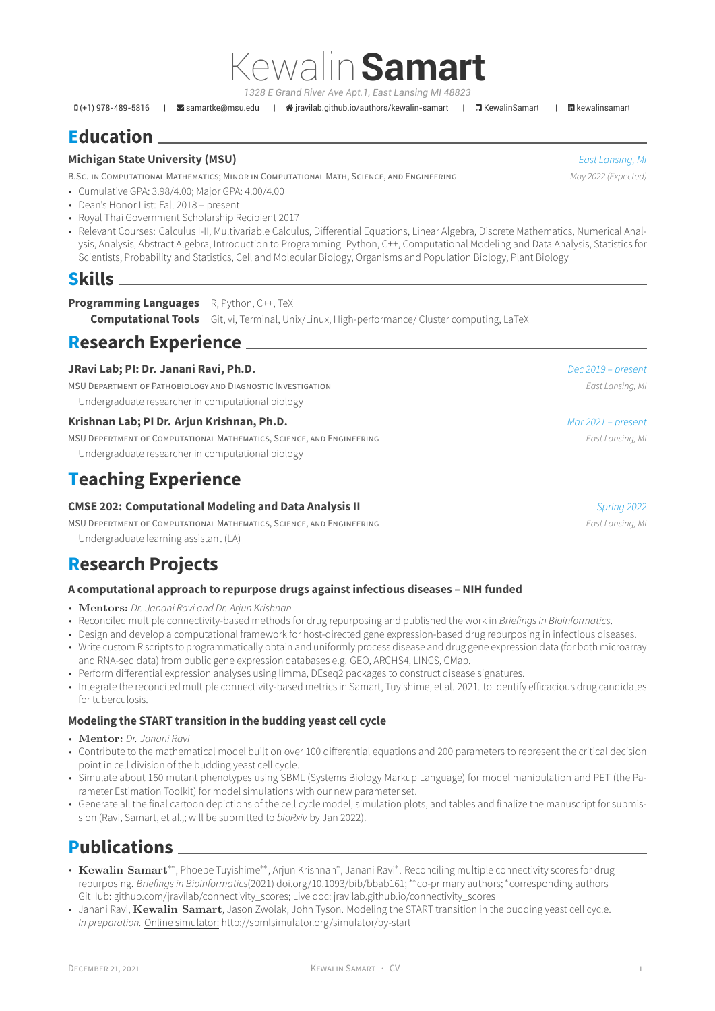*1328 E Grand River Ave Apt.1, East Lansing MI 48823*

Kewalin**Samart**

(+1) 978-489-5816 | [samartke@msu.edu](mailto:samartke@msu.edu) | [jravilab.github.io/authors/kewalin-samart](http://jravilab.github.io/authors/kewalin-samart) | [KewalinSamart](https://github.com/KewalinSamart) | [kewalinsamart](https://www.linkedin.com/in/kewalinsamart)

# **Education**

### **Michigan State University (MSU)** *East Lansing, MI*

B.SC. IN COMPUTATIONAL MATHEMATICS; MINOR IN COMPUTATIONAL MATH, SCIENCE, AND ENGINEERING *May 2022 (Expected)*

- Cumulative GPA: 3.98/4.00; Major GPA: 4.00/4.00
- Dean's Honor List: Fall 2018 present
- Royal Thai Government Scholarship Recipient 2017
- Relevant Courses: Calculus I-II, Multivariable Calculus, Differential Equations, Linear Algebra, Discrete Mathematics, Numerical Analysis, Analysis, Abstract Algebra, Introduction to Programming: Python, C++, Computational Modeling and Data Analysis, Statistics for Scientists, Probability and Statistics, Cell and Molecular Biology, Organisms and Population Biology, Plant Biology

### **Skills**

**Programming Languages** R, Python, C++, TeX

**Computational Tools** Git, vi, Terminal, Unix/Linux, High-performance/ Cluster computing, LaTeX

## **Research Experience**

| JRavi Lab; PI: Dr. Janani Ravi, Ph.D.                                 | Dec 2019 - present |
|-----------------------------------------------------------------------|--------------------|
| MSU DEPARTMENT OF PATHOBIOLOGY AND DIAGNOSTIC INVESTIGATION           | East Lansing, MI   |
| Undergraduate researcher in computational biology                     |                    |
| Krishnan Lab; PI Dr. Arjun Krishnan, Ph.D.                            | Mar 2021 - present |
| MSU DEPERTMENT OF COMPUTATIONAL MATHEMATICS, SCIENCE, AND ENGINEERING | East Lansing, MI   |
| Undergraduate researcher in computational biology                     |                    |
| <b>Teaching Experience</b>                                            |                    |

### **CMSE 202: Computational Modeling and Data Analysis II Spring 2022 Spring 2022**

MSU DEPERTMENT OF COMPUTATIONAL MATHEMATICS, SCIENCE, AND ENGINEERING *East Lansing, MI* Undergraduate learning assistant (LA)

# **Research Projects**

### **A computational approach to repurpose drugs against infectious diseases – NIH funded**

- **Mentors:** *Dr. Janani Ravi and Dr. Arjun Krishnan*
- Reconciled multiple connectivity-based methods for drug repurposing and published the work in *Briefings in Bioinformatics*.
- Design and develop a computational framework for host-directed gene expression-based drug repurposing in infectious diseases.
- Write custom R scripts to programmatically obtain and uniformly process disease and drug gene expression data (for both microarray and RNA-seq data) from public gene expression databases e.g. GEO, ARCHS4, LINCS, CMap.
- Perform differential expression analyses using limma, DEseq2 packages to construct disease signatures.
- Integrate the reconciled multiple connectivity-based metrics in Samart, Tuyishime, et al. 2021. to identify efficacious drug candidates for tuberculosis.

### **Modeling the START transition in the budding yeast cell cycle**

- **Mentor:** *Dr. Janani Ravi*
- Contribute to the mathematical model built on over 100 differential equations and 200 parameters to represent the critical decision point in cell division of the budding yeast cell cycle.
- Simulate about 150 mutant phenotypes using SBML (Systems Biology Markup Language) for model manipulation and PET (the Parameter Estimation Toolkit) for model simulations with our new parameter set.
- Generate all the final cartoon depictions of the cell cycle model, simulation plots, and tables and finalize the manuscript for submission (Ravi, Samart, et al.,; will be submitted to *bioRxiv* by Jan 2022).

# **Publications**

- Kewalin Samart<sup>\*\*</sup>, Phoebe Tuyishime<sup>\*\*</sup>, Arjun Krishnan<sup>\*</sup>, Janani Ravi<sup>\*</sup>. Reconciling multiple connectivity scores for drug repurposing. *Briefings in Bioinformatics*(2021) doi.org/10.1093/bib/bbab161; ∗∗co-primary authors; <sup>∗</sup> corresponding authors GitHub: [github.com/jravilab/connectivity\\_scores](https://github.com/jravilab/connectivity_scores); Live doc: [jravilab.github.io/connectivity\\_scores](https://jravilab.github.io/connectivity_scores)
- Janani Ravi, **Kewalin Samart**, Jason Zwolak, John Tyson. Modeling the START transition in the budding yeast cell cycle. *In preparation.* Online simulator: <http://sbmlsimulator.org/simulator/by-start>